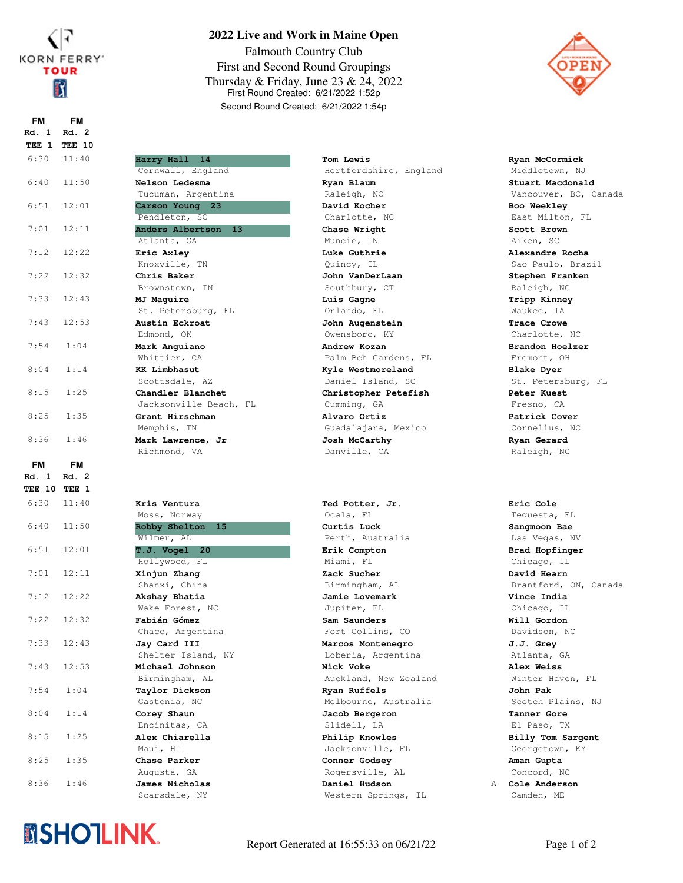

**TEE 10 TEE 1 Rd. 1 Rd. 2 FM FM**

6:30 11:40 **Harry Hall 14**

## **2022 Live and Work in Maine Open**

Falmouth Country Club First and Second Round Groupings Thursday & Friday, June 23 & 24, 2022 First Round Created: 6/21/2022 1:52p Second Round Created: 6/21/2022 1:54p

Hertfordshire, England

Palm Bch Gardens, FL

Guadalajara, Mexico

Auckland, New Zealand

Melbourne, Australia

Maui, HI Jacksonville, FL

Augusta, GA Rogersville, AL

Scarsdale, NY Western Springs, IL



**Tom Lewis Ryan McCormick** Middletown, NJ **Ryan Blaum Stuart Macdonald** Vancouver, BC, Canada **David Kocher Boo Weekley** East Milton, FL **Chase Wright Scott Brown** Aiken, SC **Luke Guthrie Alexandre Rocha** Sao Paulo, Brazil **John VanDerLaan Stephen Franken** Raleigh, NC **Luis Gagne Tripp Kinney** Waukee, IA **John Augenstein Trace Crowe** Charlotte, NC **Andrew Kozan Brandon Hoelzer** Fremont, OH **Kyle Westmoreland Blake Dyer** St. Petersburg, FL **Christopher Petefish Peter Kuest** Fresno, CA **Alvaro Ortiz Patrick Cover** Cornelius, NC Josh McCarthy **Ryan Gerard** Raleigh, NC

**Ted Potter, Jr. Eric Cole** Tequesta, FL **Curtis Luck Sangmoon Bae** Las Vegas, NV **Erik Compton Brad Hopfinger** Chicago, IL **Zack Sucher David Hearn** Brantford, ON, Canada **Jamie Lovemark Vince India** Chicago, IL **Sam Saunders Will Gordon** Davidson, NC **Marcos Montenegro J.J. Grey** Atlanta, GA **Nick Voke Alex Weiss** Winter Haven, FL **Ryan Ruffels John Pak** Scotch Plains, NJ **Jacob Bergeron Tanner Gore** El Paso, TX **Philip Knowles Billy Tom Sargent** Georgetown, KY **Conner Godsey Aman Gupta** Concord, NC

**Daniel Hudson A Cole Anderson** Camden, ME

|              |           | Cornwall, England      | Hertfordshire, Engl |
|--------------|-----------|------------------------|---------------------|
| 6:40         | 11:50     | Nelson Ledesma         | Ryan Blaum          |
|              |           | Tucuman, Argentina     | Raleigh, NC         |
| 6:51         | 12:01     | Carson Young<br>23     | David Kocher        |
|              |           | Pendleton, SC          | Charlotte, NC       |
| 7:01         | 12:11     | Anders Albertson<br>13 | Chase Wright        |
|              |           | Atlanta, GA            | Muncie, IN          |
| 7:12         | 12:22     | Eric Axley             | Luke Guthrie        |
|              |           | Knoxville, TN          | Quincy, IL          |
| 7:22         | 12:32     | Chris Baker            | John VanDerLaan     |
|              |           | Brownstown, IN         | Southbury, CT       |
| 7:33         | 12:43     | MJ Maguire             | Luis Gagne          |
|              |           | St. Petersburg, FL     | Orlando, FL         |
| 7:43         | 12:53     | Austin Eckroat         | John Augenstein     |
|              |           | Edmond, OK             | Owensboro, KY       |
| 7:54         | 1:04      | Mark Anguiano          | Andrew Kozan        |
|              |           | Whittier, CA           | Palm Bch Gardens, B |
| 8:04         | 1:14      | <b>KK Limbhasut</b>    | Kyle Westmoreland   |
|              |           | Scottsdale, AZ         | Daniel Island, SC   |
| 8:15         | 1:25      | Chandler Blanchet      | Christopher Petefis |
|              |           | Jacksonville Beach, FL | Cumming, GA         |
| 8:25         | 1:35      | Grant Hirschman        | Alvaro Ortiz        |
| 8:36         | 1:46      | Memphis, TN            | Guadalajara, Mexico |
|              |           | Mark Lawrence, Jr      | Josh McCarthy       |
|              |           | Richmond, VA           | Danville, CA        |
| FM           | <b>FM</b> |                        |                     |
| Rd. 1        | Rd. 2     |                        |                     |
| TEE 10 TEE 1 |           |                        |                     |
| 6:30         | 11:40     | Kris Ventura           | Ted Potter, Jr.     |
|              |           | Moss, Norway           | Ocala, FL           |
| 6:40         | 11:50     | Robby Shelton<br>15    | Curtis Luck         |
|              |           | Wilmer, AL             | Perth, Australia    |
| 6:51         | 12:01     | T.J. Vogel 20          | Erik Compton        |
|              |           | Hollywood, FL          | Miami, FL           |
| 7:01         | 12:11     | Xinjun Zhang           | Zack Sucher         |
|              |           | Shanxi, China          | Birmingham, AL      |
| 7:12         | 12:22     | Akshay Bhatia          | Jamie Lovemark      |
|              |           | Wake Forest, NC        | Jupiter, FL         |
| 7:22         | 12:32     | Fabián Gómez           | Sam Saunders        |
|              |           | Chaco, Argentina       | Fort Collins, CO    |
| 7:33         | 12:43     | Jay Card III           | Marcos Montenegro   |
|              |           | Shelter Island, NY     | Loberia, Argentina  |
| 7:43         | 12:53     | Michael Johnson        | Nick Voke           |
|              |           | Birmingham, AL         | Auckland, New Zeala |
| 7:54         | 1:04      | Taylor Dickson         | Ryan Ruffels        |
|              |           | Gastonia, NC           | Melbourne, Australi |
| 8:04         | 1:14      | Corey Shaun            | Jacob Bergeron      |
|              |           | Encinitas, CA          | Slidell, LA         |
| 8:15         | 1:25      | Alex Chiarella         | Philip Knowles      |



8:25 1:35 **Chase Parker**

8:36 1:46 **James Nicholas**